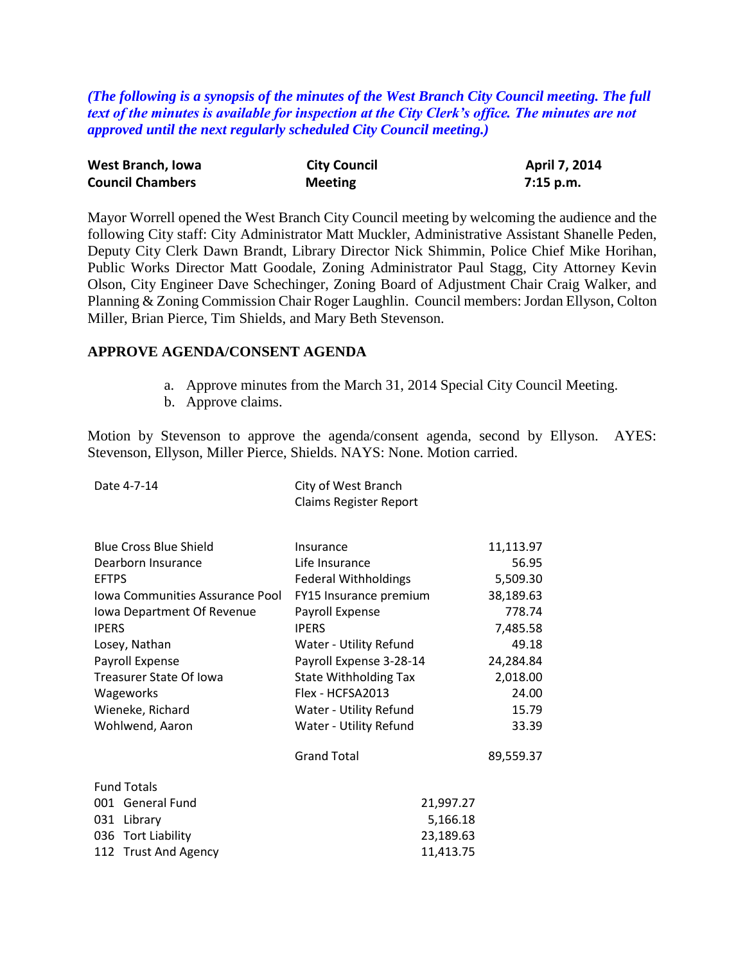*(The following is a synopsis of the minutes of the West Branch City Council meeting. The full text of the minutes is available for inspection at the City Clerk's office. The minutes are not approved until the next regularly scheduled City Council meeting.)*

| West Branch, Iowa       | <b>City Council</b> | April 7, 2014 |
|-------------------------|---------------------|---------------|
| <b>Council Chambers</b> | <b>Meeting</b>      | 7:15 p.m.     |

Mayor Worrell opened the West Branch City Council meeting by welcoming the audience and the following City staff: City Administrator Matt Muckler, Administrative Assistant Shanelle Peden, Deputy City Clerk Dawn Brandt, Library Director Nick Shimmin, Police Chief Mike Horihan, Public Works Director Matt Goodale, Zoning Administrator Paul Stagg, City Attorney Kevin Olson, City Engineer Dave Schechinger, Zoning Board of Adjustment Chair Craig Walker, and Planning & Zoning Commission Chair Roger Laughlin. Council members: Jordan Ellyson, Colton Miller, Brian Pierce, Tim Shields, and Mary Beth Stevenson.

## **APPROVE AGENDA/CONSENT AGENDA**

- a. Approve minutes from the March 31, 2014 Special City Council Meeting.
- b. Approve claims.

Motion by Stevenson to approve the agenda/consent agenda, second by Ellyson. AYES: Stevenson, Ellyson, Miller Pierce, Shields. NAYS: None. Motion carried.

| Date 4-7-14                     | City of West Branch<br><b>Claims Register Report</b> |           |
|---------------------------------|------------------------------------------------------|-----------|
|                                 |                                                      |           |
| <b>Blue Cross Blue Shield</b>   | Insurance                                            | 11,113.97 |
| Dearborn Insurance              | Life Insurance                                       | 56.95     |
| <b>EFTPS</b>                    | <b>Federal Withholdings</b>                          | 5,509.30  |
| Iowa Communities Assurance Pool | FY15 Insurance premium                               | 38,189.63 |
| Iowa Department Of Revenue      | Payroll Expense                                      | 778.74    |
| <b>IPERS</b>                    | <b>IPERS</b>                                         | 7,485.58  |
| Losey, Nathan                   | Water - Utility Refund                               | 49.18     |
| Payroll Expense                 | Payroll Expense 3-28-14                              | 24,284.84 |
| Treasurer State Of Iowa         | <b>State Withholding Tax</b>                         | 2,018.00  |
| Wageworks                       | Flex - HCFSA2013                                     | 24.00     |
| Wieneke, Richard                | Water - Utility Refund                               | 15.79     |
| Wohlwend, Aaron                 | Water - Utility Refund                               | 33.39     |
|                                 | <b>Grand Total</b>                                   | 89,559.37 |
| <b>Fund Totals</b>              |                                                      |           |
| 001 General Fund                | 21,997.27                                            |           |
| 031 Library                     | 5,166.18                                             |           |
| 036 Tort Liability              | 23,189.63                                            |           |
| 112 Trust And Agency            | 11,413.75                                            |           |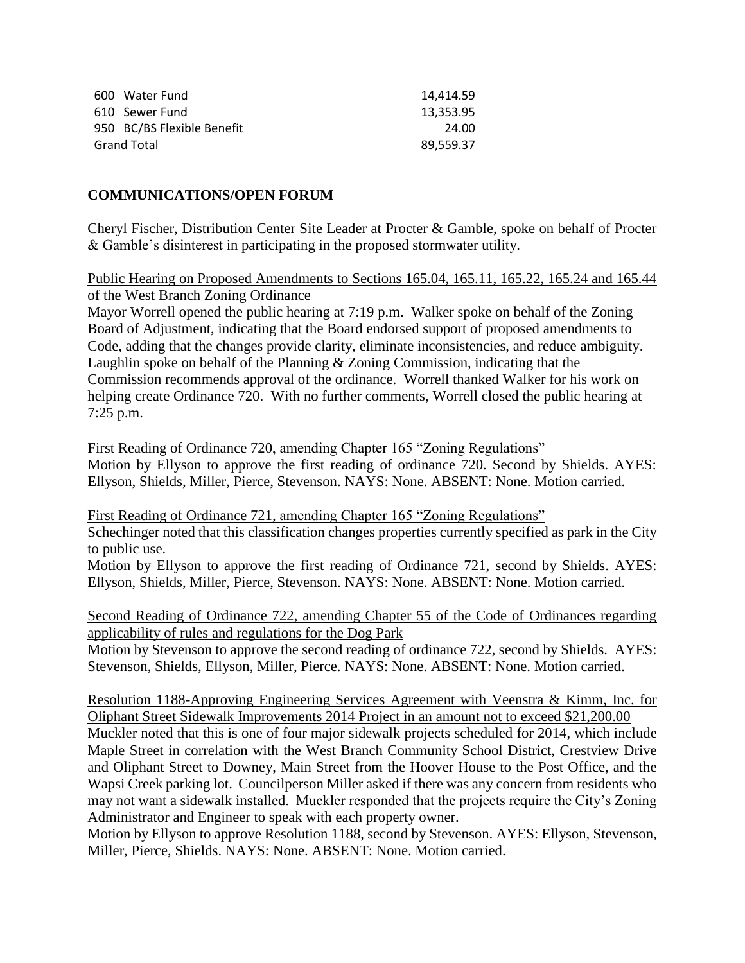| 600 Water Fund             | 14.414.59 |
|----------------------------|-----------|
| 610 Sewer Fund             | 13.353.95 |
| 950 BC/BS Flexible Benefit | 24.00     |
| <b>Grand Total</b>         | 89.559.37 |

## **COMMUNICATIONS/OPEN FORUM**

Cheryl Fischer, Distribution Center Site Leader at Procter & Gamble, spoke on behalf of Procter & Gamble's disinterest in participating in the proposed stormwater utility.

Public Hearing on Proposed Amendments to Sections 165.04, 165.11, 165.22, 165.24 and 165.44 of the West Branch Zoning Ordinance

Mayor Worrell opened the public hearing at 7:19 p.m. Walker spoke on behalf of the Zoning Board of Adjustment, indicating that the Board endorsed support of proposed amendments to Code, adding that the changes provide clarity, eliminate inconsistencies, and reduce ambiguity. Laughlin spoke on behalf of the Planning  $&$  Zoning Commission, indicating that the Commission recommends approval of the ordinance. Worrell thanked Walker for his work on helping create Ordinance 720. With no further comments, Worrell closed the public hearing at 7:25 p.m.

First Reading of Ordinance 720, amending Chapter 165 "Zoning Regulations" Motion by Ellyson to approve the first reading of ordinance 720. Second by Shields. AYES: Ellyson, Shields, Miller, Pierce, Stevenson. NAYS: None. ABSENT: None. Motion carried.

First Reading of Ordinance 721, amending Chapter 165 "Zoning Regulations" Schechinger noted that this classification changes properties currently specified as park in the City to public use.

Motion by Ellyson to approve the first reading of Ordinance 721, second by Shields. AYES: Ellyson, Shields, Miller, Pierce, Stevenson. NAYS: None. ABSENT: None. Motion carried.

Second Reading of Ordinance 722, amending Chapter 55 of the Code of Ordinances regarding applicability of rules and regulations for the Dog Park

Motion by Stevenson to approve the second reading of ordinance 722, second by Shields. AYES: Stevenson, Shields, Ellyson, Miller, Pierce. NAYS: None. ABSENT: None. Motion carried.

Resolution 1188-Approving Engineering Services Agreement with Veenstra & Kimm, Inc. for Oliphant Street Sidewalk Improvements 2014 Project in an amount not to exceed \$21,200.00

Muckler noted that this is one of four major sidewalk projects scheduled for 2014, which include Maple Street in correlation with the West Branch Community School District, Crestview Drive and Oliphant Street to Downey, Main Street from the Hoover House to the Post Office, and the Wapsi Creek parking lot. Councilperson Miller asked if there was any concern from residents who may not want a sidewalk installed. Muckler responded that the projects require the City's Zoning Administrator and Engineer to speak with each property owner.

Motion by Ellyson to approve Resolution 1188, second by Stevenson. AYES: Ellyson, Stevenson, Miller, Pierce, Shields. NAYS: None. ABSENT: None. Motion carried.